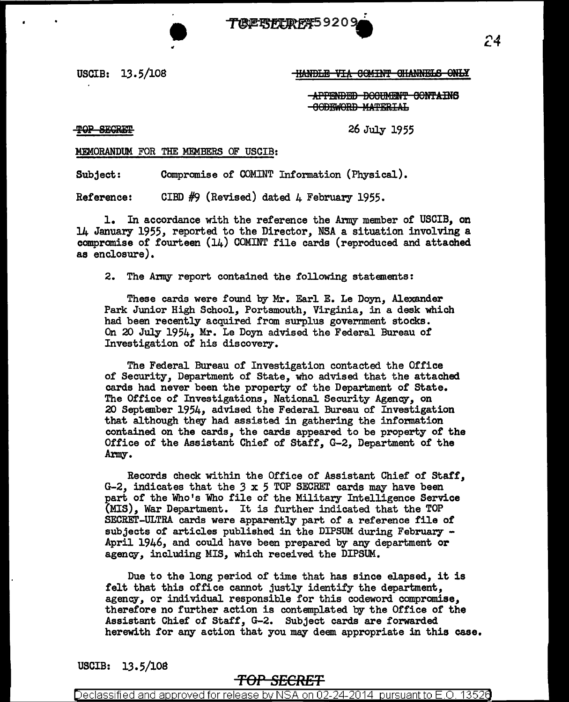

#### USCIB:  $13.5/108$  If HANDLE VIA COMINT CHANNELS ONLY

APPENDED BOOUMENT CONTAINS -GODEWORD MATERIAL

TOP SECRET

26 July 1955

#### MEMORANDUM FOR THE MEMBERS OF USCIB:

Subject: Compromise of COMINT Information (Physical).

Reference: CIBD  $#9$  (Revised) dated 4 February 1955.

1. In accordance with the reference the Army member of USCIB, on 14 January 1955, reported to the Director, NSA a situation involving a compromise of fourteen (14) COMINT file cards (reproduced and attached as enclosure).

2. The Army report contained the following statements:

These cards were found by Mr. Earl E. Le Doyn, Alexander Park Junior High School, Portsmouth, Virginia, in a desk which had been recently acquired from surplus government stocks. On 20 July 1954, Mr. Le Doyn advised the Federal Bureau of Investigation of his discovery.

The Federal Bureau of Investigation contacted the Office of Security, Department of State, who advised that the attached. cards had never been the property of the Department of state. The Office of Investigations, National Security Agency, on 20 September 1954, advised the Federal Bureau of Investigation that although they had assisted in gathering the information contained on the cards, the cards appeared to be property of the Office of the Assistant Chief of Staff, G-2, Department of the Army.

Records check within the Office of Assistant Chief of Staff, G-2, indicates that the *3* x 5 TOP SECRET cards may have been part of the Who's Who file of the Military Intelligence Service (MIS), War Department. It is further indicated that the TOP SECRET-ULTRA cards were apparently part of a reference file of subjects of articles published in the DIPSUM during February -<br>April 1946, and could have been prepared by any department or agency, including MIS, which received the DIPSUM.

Due to the long period of time that has since elapsed, it is felt that this office cannot justly identify the department, agency, or individual responsible for this codeword compromise, therefore no further action is contemplated by the Office of the Assistant Chief of Staff, G-2. Subject cards are forwarded. herewith for any action that you may deem appropriate in this case.

USCIB: 13.5/108

## *TOP SECRET*

Declassified and approved for release by NSA on 02-24-2014  $\,$  pursuant to E.O. 13526  $\,$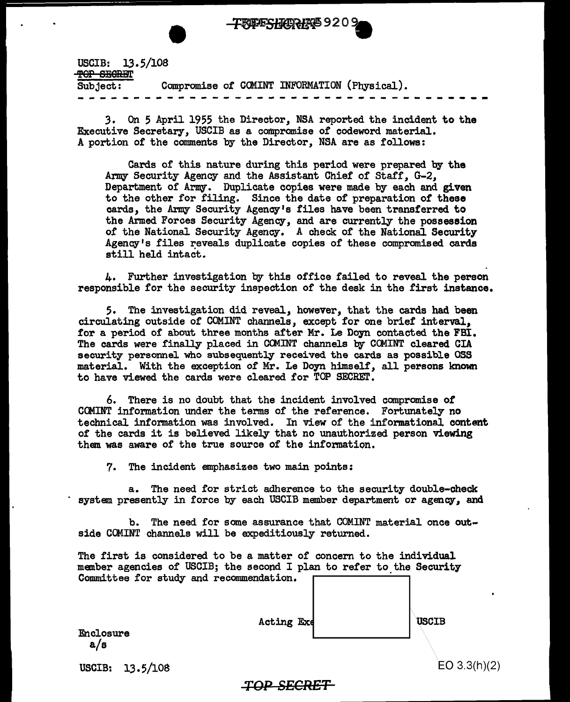

USCIB: 13.5/108 TOP SECRET Subject: Compromise of C<lUNT INFORMATION (Physical). -- - - -- - - -- - - - - - - --- - - -- -- -- - - ---- -- ~ ~

*3.* On 5 April 1955 the Director, NSA reported the incident to the Executive Secretary, USCIB as a compromise of codeword material. A portion of the comments by the Director, NSA are as follows:

Cards of this nature during this period were prepared by the Army Security Agency and the Assistant Chief of Staff, G-2, Department of Army. Duplicate copies were made by each and given to the other for filing. Since the date of preparation of these cards, the Army Security Agency's files have been transferred to the Armed Forces Security Agency, and are currently the possession of the National Security Agency. A check of the National Security Agency's files reveals duplicate copies of these compromised cards still held intact.

4. Further investigation by this office failed to reveal the person responsible for the security inspection of the desk in the first instance.

5. The investigation did reveal, however, that the cards had been circulating outside of COMINT channels, except for one brief interval, for a period of about three months after Mr. Le Doyn contacted the FBI. The cards were finally placed in CCMINT channels by CCMINT cleared CIA security personnel who subsequently received the cards as possible OSS material. With the exception of Mr. Le Doyn himself, all persons known to have viewed the cards were cleared for TOP SECREI'.

6. There is no doubt that the incident involved compromise of CCMINT information under the terms of the reference. Fortunately no technical information was involved. In view of the informational content of the cards it is believed likely that no unauthorized person viewing them was aware of the true source of the information.

7. The incident emphasizes two main points:

a. The need for strict adherence to the security double-check system presently in force by each USCIB member department or agency, and

b. The need for some assurance that COMINT material once outside COMINT channels will be expeditiously returned.

The first is considered to be a matter of concern to the individual manber agencies of USCIB; the second I plan to refer to the Security Committee for study and recommendation.  $\Box$ 

| <br>Acting Exe | <b>USCIB</b> |
|----------------|--------------|
|                |              |

Enclosure a/s

USCIB: 13.5/108

EO 3.3(h)(2)

### *TOP SECRET*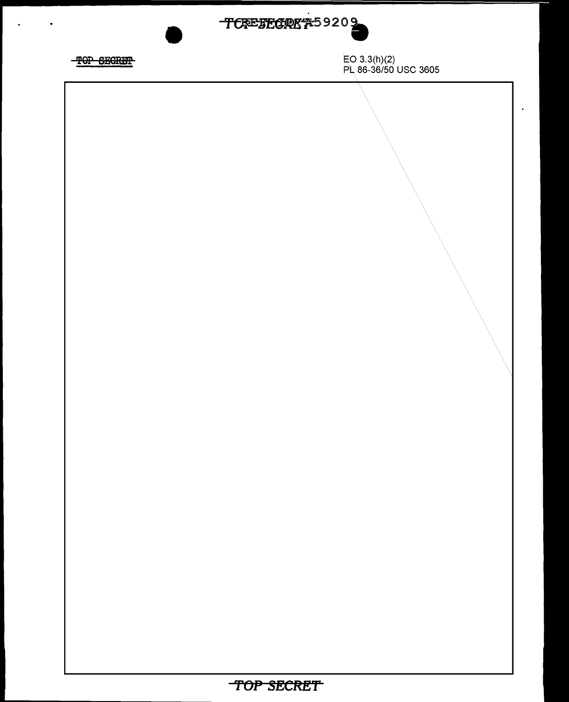

 $\cdot$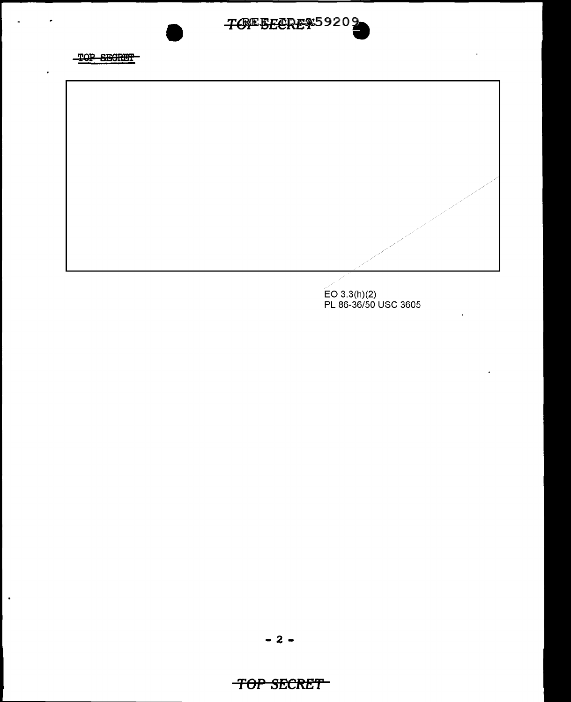



EO 3.3(h)(2) PL 86-36/50 USC 3605

 $- 2 -$ 

 $\blacksquare$ 

# *TOP SECRET*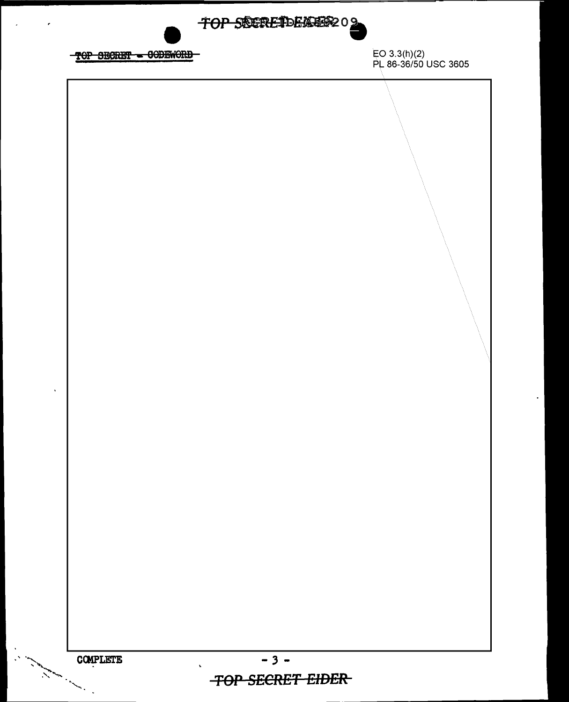TOP SECRETDEMER202 EO 3.3(h)(2)<br>PL 86-36/50 USC 3605 TOP SECRET - CODEWORD  $-3-$ COMPLETE and a line of the contract of the contract of the contract of the contract of the contract of the contract of  $\mathbf{v}$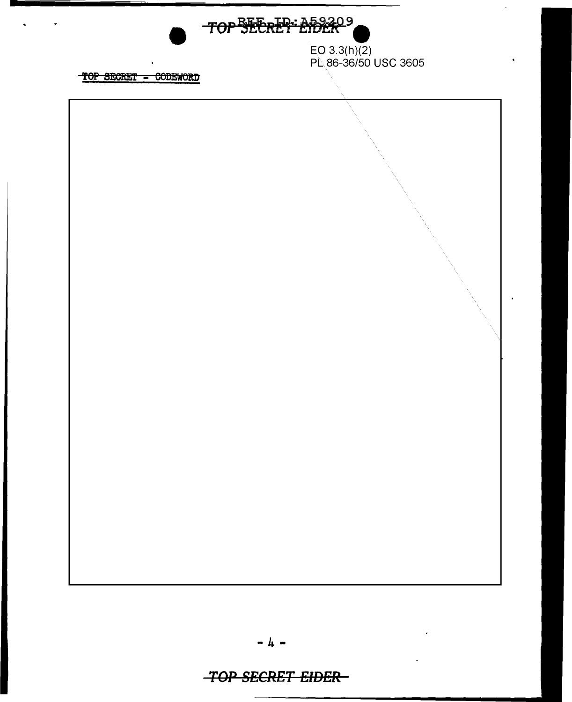

EO 3.3(h)(2)<br>PL 86-36/50 USC 3605

TOP SECRET - CODEWORD

 $\overline{\phantom{a}}$ 



## **-TOP SECRET EIDER-**